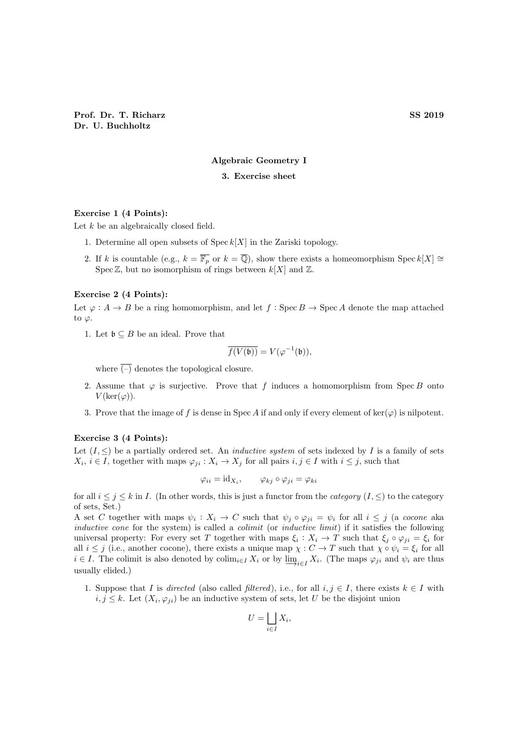# Algebraic Geometry I

# 3. Exercise sheet

# Exercise 1 (4 Points):

Let  $k$  be an algebraically closed field.

- 1. Determine all open subsets of  $\operatorname{Spec} k[X]$  in the Zariski topology.
- 2. If k is countable (e.g.,  $k = \overline{\mathbb{F}_p}$  or  $k = \overline{\mathbb{Q}}$ ), show there exists a homeomorphism Spec  $k[X] \cong$ Spec  $\mathbb{Z}$ , but no isomorphism of rings between  $k[X]$  and  $\mathbb{Z}$ .

#### Exercise 2 (4 Points):

Let  $\varphi: A \to B$  be a ring homomorphism, and let  $f: \text{Spec } B \to \text{Spec } A$  denote the map attached to  $\varphi$ .

1. Let  $\mathfrak{b} \subseteq B$  be an ideal. Prove that

$$
\overline{f(V(\mathfrak{b}))} = V(\varphi^{-1}(\mathfrak{b})),
$$

where  $\overline{(-)}$  denotes the topological closure.

- 2. Assume that  $\varphi$  is surjective. Prove that f induces a homomorphism from Spec B onto  $V(\ker(\varphi)).$
- 3. Prove that the image of f is dense in Spec A if and only if every element of ker( $\varphi$ ) is nilpotent.

### Exercise 3 (4 Points):

Let  $(I, \leq)$  be a partially ordered set. An *inductive system* of sets indexed by I is a family of sets  $X_i, i \in I$ , together with maps  $\varphi_{ji} : X_i \to X_j$  for all pairs  $i, j \in I$  with  $i \leq j$ , such that

$$
\varphi_{ii} = \mathrm{id}_{X_i}, \qquad \varphi_{kj} \circ \varphi_{ji} = \varphi_{ki}
$$

for all  $i \leq j \leq k$  in I. (In other words, this is just a functor from the *category*  $(I, \leq)$  to the category of sets, Set.)

A set C together with maps  $\psi_i: X_i \to C$  such that  $\psi_j \circ \varphi_{ji} = \psi_i$  for all  $i \leq j$  (a cocone aka inductive cone for the system) is called a *colimit* (or *inductive limit*) if it satisfies the following universal property: For every set T together with maps  $\xi_i: X_i \to T$  such that  $\xi_j \circ \varphi_{ji} = \xi_i$  for all  $i \leq j$  (i.e., another cocone), there exists a unique map  $\chi : C \to T$  such that  $\chi \circ \psi_i = \xi_i$  for all  $i \in I$ . The colimit is also denoted by  $\operatorname{colim}_{i \in I} X_i$  or by  $\varinjlim_{i \in I} X_i$ . (The maps  $\varphi_{ji}$  and  $\psi_i$  are thus usually elided.)

1. Suppose that I is directed (also called filtered), i.e., for all  $i, j \in I$ , there exists  $k \in I$  with  $i, j \leq k$ . Let  $(X_i, \varphi_{ji})$  be an inductive system of sets, let U be the disjoint union

$$
U = \bigsqcup_{i \in I} X_i,
$$